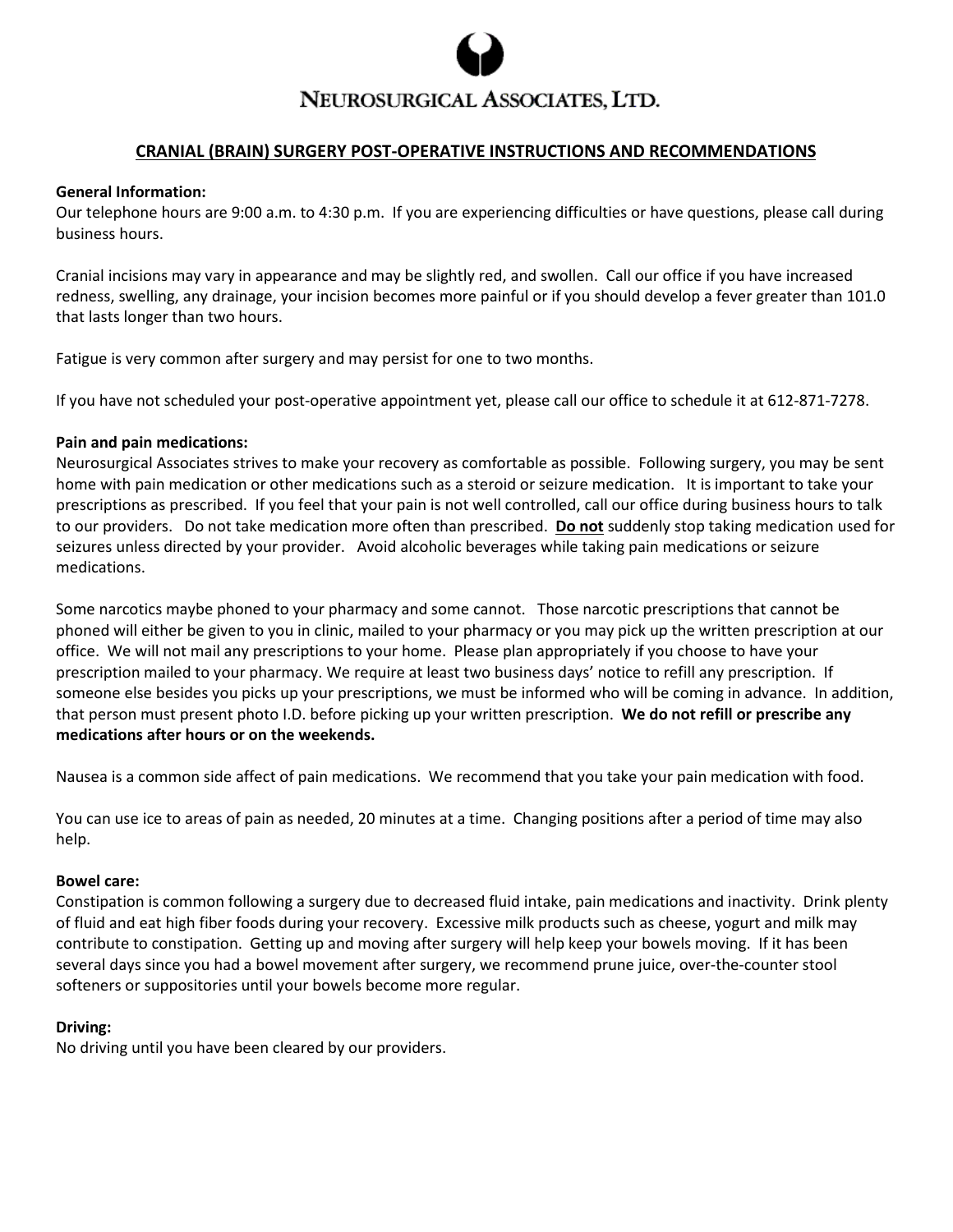

# NEUROSURGICAL ASSOCIATES, LTD.

## **CRANIAL (BRAIN) SURGERY POST-OPERATIVE INSTRUCTIONS AND RECOMMENDATIONS**

#### **General Information:**

Our telephone hours are 9:00 a.m. to 4:30 p.m. If you are experiencing difficulties or have questions, please call during business hours.

Cranial incisions may vary in appearance and may be slightly red, and swollen. Call our office if you have increased redness, swelling, any drainage, your incision becomes more painful or if you should develop a fever greater than 101.0 that lasts longer than two hours.

Fatigue is very common after surgery and may persist for one to two months.

If you have not scheduled your post-operative appointment yet, please call our office to schedule it at 612-871-7278.

#### **Pain and pain medications:**

Neurosurgical Associates strives to make your recovery as comfortable as possible. Following surgery, you may be sent home with pain medication or other medications such as a steroid or seizure medication. It is important to take your prescriptions as prescribed. If you feel that your pain is not well controlled, call our office during business hours to talk to our providers. Do not take medication more often than prescribed. **Do not** suddenly stop taking medication used for seizures unless directed by your provider. Avoid alcoholic beverages while taking pain medications or seizure medications.

Some narcotics maybe phoned to your pharmacy and some cannot. Those narcotic prescriptions that cannot be phoned will either be given to you in clinic, mailed to your pharmacy or you may pick up the written prescription at our office. We will not mail any prescriptions to your home. Please plan appropriately if you choose to have your prescription mailed to your pharmacy. We require at least two business days' notice to refill any prescription. If someone else besides you picks up your prescriptions, we must be informed who will be coming in advance. In addition, that person must present photo I.D. before picking up your written prescription. **We do not refill or prescribe any medications after hours or on the weekends.** 

Nausea is a common side affect of pain medications. We recommend that you take your pain medication with food.

You can use ice to areas of pain as needed, 20 minutes at a time. Changing positions after a period of time may also help.

## **Bowel care:**

Constipation is common following a surgery due to decreased fluid intake, pain medications and inactivity. Drink plenty of fluid and eat high fiber foods during your recovery. Excessive milk products such as cheese, yogurt and milk may contribute to constipation. Getting up and moving after surgery will help keep your bowels moving. If it has been several days since you had a bowel movement after surgery, we recommend prune juice, over-the-counter stool softeners or suppositories until your bowels become more regular.

## **Driving:**

No driving until you have been cleared by our providers.